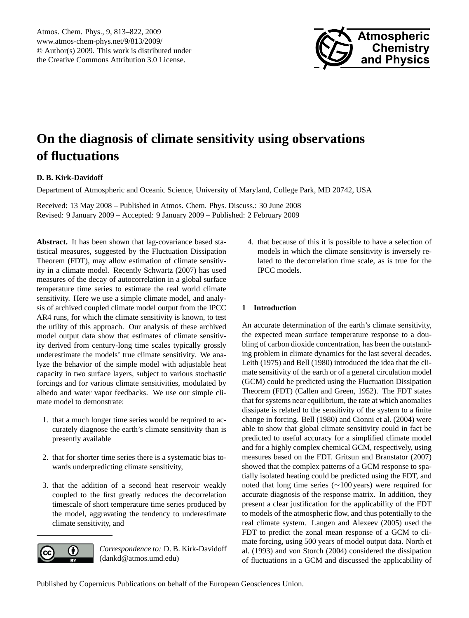

# <span id="page-0-0"></span>**On the diagnosis of climate sensitivity using observations of fluctuations**

# **D. B. Kirk-Davidoff**

Department of Atmospheric and Oceanic Science, University of Maryland, College Park, MD 20742, USA

Received: 13 May 2008 – Published in Atmos. Chem. Phys. Discuss.: 30 June 2008 Revised: 9 January 2009 – Accepted: 9 January 2009 – Published: 2 February 2009

**Abstract.** It has been shown that lag-covariance based statistical measures, suggested by the Fluctuation Dissipation Theorem (FDT), may allow estimation of climate sensitivity in a climate model. Recently [Schwartz](#page-9-0) [\(2007\)](#page-9-0) has used measures of the decay of autocorrelation in a global surface temperature time series to estimate the real world climate sensitivity. Here we use a simple climate model, and analysis of archived coupled climate model output from the IPCC AR4 runs, for which the climate sensitivity is known, to test the utility of this approach. Our analysis of these archived model output data show that estimates of climate sensitivity derived from century-long time scales typically grossly underestimate the models' true climate sensitivity. We analyze the behavior of the simple model with adjustable heat capacity in two surface layers, subject to various stochastic forcings and for various climate sensitivities, modulated by albedo and water vapor feedbacks. We use our simple climate model to demonstrate:

- 1. that a much longer time series would be required to accurately diagnose the earth's climate sensitivity than is presently available
- 2. that for shorter time series there is a systematic bias towards underpredicting climate sensitivity,
- 3. that the addition of a second heat reservoir weakly coupled to the first greatly reduces the decorrelation timescale of short temperature time series produced by the model, aggravating the tendency to underestimate climate sensitivity, and



*Correspondence to:* D. B. Kirk-Davidoff (dankd@atmos.umd.edu)

4. that because of this it is possible to have a selection of models in which the climate sensitivity is inversely related to the decorrelation time scale, as is true for the IPCC models.

# **1 Introduction**

An accurate determination of the earth's climate sensitivity, the expected mean surface temperature response to a doubling of carbon dioxide concentration, has been the outstanding problem in climate dynamics for the last several decades. [Leith](#page-9-1) [\(1975\)](#page-9-1) and [Bell](#page-8-0) [\(1980\)](#page-8-0) introduced the idea that the climate sensitivity of the earth or of a general circulation model (GCM) could be predicted using the Fluctuation Dissipation Theorem (FDT) [\(Callen and Green,](#page-8-1) [1952\)](#page-8-1). The FDT states that for systems near equilibrium, the rate at which anomalies dissipate is related to the sensitivity of the system to a finite change in forcing. [Bell](#page-8-0) [\(1980\)](#page-8-0) and [Cionni et al.](#page-8-2) [\(2004\)](#page-8-2) were able to show that global climate sensitivity could in fact be predicted to useful accuracy for a simplified climate model and for a highly complex chemical GCM, respectively, using measures based on the FDT. [Gritsun and Branstator](#page-8-3) [\(2007\)](#page-8-3) showed that the complex patterns of a GCM response to spatially isolated heating could be predicted using the FDT, and noted that long time series (∼100 years) were required for accurate diagnosis of the response matrix. In addition, they present a clear justification for the applicability of the FDT to models of the atmospheric flow, and thus potentially to the real climate system. [Langen and Alexeev](#page-9-2) [\(2005\)](#page-9-2) used the FDT to predict the zonal mean response of a GCM to climate forcing, using 500 years of model output data. [North et](#page-9-3) [al.](#page-9-3) [\(1993\)](#page-9-3) and [von Storch](#page-9-4) [\(2004\)](#page-9-4) considered the dissipation of fluctuations in a GCM and discussed the applicability of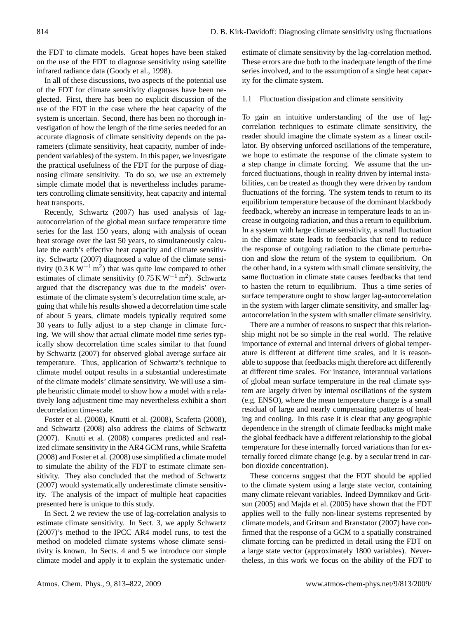the FDT to climate models. Great hopes have been staked on the use of the FDT to diagnose sensitivity using satellite infrared radiance data [\(Goody et al.,](#page-8-4) [1998\)](#page-8-4).

In all of these discussions, two aspects of the potential use of the FDT for climate sensitivity diagnoses have been neglected. First, there has been no explicit discussion of the use of the FDT in the case where the heat capacity of the system is uncertain. Second, there has been no thorough investigation of how the length of the time series needed for an accurate diagnosis of climate sensitivity depends on the parameters (climate sensitivity, heat capacity, number of independent variables) of the system. In this paper, we investigate the practical usefulness of the FDT for the purpose of diagnosing climate sensitivity. To do so, we use an extremely simple climate model that is nevertheless includes parameters controlling climate sensitivity, heat capacity and internal heat transports.

Recently, [Schwartz](#page-9-0) [\(2007\)](#page-9-0) has used analysis of lagautocorrelation of the global mean surface temperature time series for the last 150 years, along with analysis of ocean heat storage over the last 50 years, to simultaneously calculate the earth's effective heat capacity and climate sensitivity. [Schwartz](#page-9-0) [\(2007\)](#page-9-0) diagnosed a value of the climate sensitivity  $(0.3 \text{ K W}^{-1} \text{ m}^2)$  that was quite low compared to other estimates of climate sensitivity  $(0.75 \text{ K W}^{-1} \text{ m}^2)$ . Schwartz argued that the discrepancy was due to the models' overestimate of the climate system's decorrelation time scale, arguing that while his results showed a decorrelation time scale of about 5 years, climate models typically required some 30 years to fully adjust to a step change in climate forcing. We will show that actual climate model time series typically show decorrelation time scales similar to that found by [Schwartz](#page-9-0) [\(2007\)](#page-9-0) for observed global average surface air temperature. Thus, application of Schwartz's technique to climate model output results in a substantial underestimate of the climate models' climate sensitivity. We will use a simple heuristic climate model to show how a model with a relatively long adjustment time may nevertheless exhibit a short decorrelation time-scale.

[Foster et al.](#page-8-5) [\(2008\)](#page-8-5), [Knutti et al.](#page-9-5) [\(2008\)](#page-9-5), [Scafetta](#page-9-6) [\(2008\)](#page-9-6), and [Schwartz](#page-9-7) [\(2008\)](#page-9-7) also address the claims of [Schwartz](#page-9-0) [\(2007\)](#page-9-0). [Knutti et al.](#page-9-5) [\(2008\)](#page-9-5) compares predicted and realized climate sensitivity in the AR4 GCM runs, while [Scafetta](#page-9-6) [\(2008\)](#page-9-6) and [Foster et al.](#page-8-5) [\(2008\)](#page-8-5) use simplified a climate model to simulate the ability of the FDT to estimate climate sensitivity. They also concluded that the method of [Schwartz](#page-9-0) [\(2007\)](#page-9-0) would systematically underestimate climate sensitivity. The analysis of the impact of multiple heat capacities presented here is unique to this study.

In Sect. 2 we review the use of lag-correlation analysis to estimate climate sensitivity. In Sect. 3, we apply [Schwartz](#page-9-0) [\(2007\)](#page-9-0)'s method to the IPCC AR4 model runs, to test the method on modeled climate systems whose climate sensitivity is known. In Sects. 4 and 5 we introduce our simple climate model and apply it to explain the systematic underestimate of climate sensitivity by the lag-correlation method. These errors are due both to the inadequate length of the time series involved, and to the assumption of a single heat capacity for the climate system.

#### 1.1 Fluctuation dissipation and climate sensitivity

To gain an intuitive understanding of the use of lagcorrelation techniques to estimate climate sensitivity, the reader should imagine the climate system as a linear oscillator. By observing unforced oscillations of the temperature, we hope to estimate the response of the climate system to a step change in climate forcing. We assume that the unforced fluctuations, though in reality driven by internal instabilities, can be treated as though they were driven by random fluctuations of the forcing. The system tends to return to its equilibrium temperature because of the dominant blackbody feedback, whereby an increase in temperature leads to an increase in outgoing radiation, and thus a return to equilibrium. In a system with large climate sensitivity, a small fluctuation in the climate state leads to feedbacks that tend to reduce the response of outgoing radiation to the climate perturbation and slow the return of the system to equilibrium. On the other hand, in a system with small climate sensitivity, the same fluctuation in climate state causes feedbacks that tend to hasten the return to equilibrium. Thus a time series of surface temperature ought to show larger lag-autocorrelation in the system with larger climate sensitivity, and smaller lagautocorrelation in the system with smaller climate sensitivity.

There are a number of reasons to suspect that this relationship might not be so simple in the real world. The relative importance of external and internal drivers of global temperature is different at different time scales, and it is reasonable to suppose that feedbacks might therefore act differently at different time scales. For instance, interannual variations of global mean surface temperature in the real climate system are largely driven by internal oscillations of the system (e.g. ENSO), where the mean temperature change is a small residual of large and nearly compensating patterns of heating and cooling. In this case it is clear that any geographic dependence in the strength of climate feedbacks might make the global feedback have a different relationship to the global temperature for these internally forced variations than for externally forced climate change (e.g. by a secular trend in carbon dioxide concentration).

These concerns suggest that the FDT should be applied to the climate system using a large state vector, containing many climate relevant variables. Indeed [Dymnikov and Grit](#page-8-6)[sun](#page-8-6) [\(2005\)](#page-8-6) and [Majda et al.](#page-9-8) [\(2005\)](#page-9-8) have shown that the FDT applies well to the fully non-linear systems represented by climate models, and [Gritsun and Branstator](#page-8-3) [\(2007\)](#page-8-3) have confirmed that the response of a GCM to a spatially constrained climate forcing can be predicted in detail using the FDT on a large state vector (approximately 1800 variables). Nevertheless, in this work we focus on the ability of the FDT to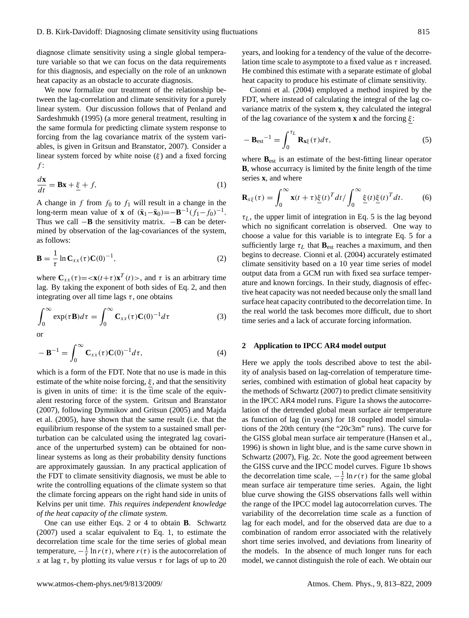diagnose climate sensitivity using a single global temperature variable so that we can focus on the data requirements for this diagnosis, and especially on the role of an unknown heat capacity as an obstacle to accurate diagnosis.

We now formalize our treatment of the relationship between the lag-correlation and climate sensitivity for a purely linear system. Our discussion follows that of [Penland and](#page-9-9) [Sardeshmukh](#page-9-9) [\(1995\)](#page-9-9) (a more general treatment, resulting in the same formula for predicting climate system response to forcing from the lag covariance matrix of the system variables, is given in [Gritsun and Branstator,](#page-8-3) [2007\)](#page-8-3). Consider a linear system forced by white noise  $(\xi)$  and a fixed forcing  $f$ :

<span id="page-2-2"></span>
$$
\frac{d\mathbf{x}}{dt} = \mathbf{B}\mathbf{x} + \underline{\xi} + f,\tag{1}
$$

A change in f from  $f_0$  to  $f_1$  will result in a change in the long-term mean value of **x** of  $(\bar{x}_1 - \bar{x}_0) = -B^{-1}(f_1 - f_0)^{-1}$ . Thus we call −**B** the sensitivity matrix. −**B** can be determined by observation of the lag-covariances of the system, as follows:

<span id="page-2-0"></span>
$$
\mathbf{B} = \frac{1}{\tau} \ln \mathbf{C}_{xx}(\tau) \mathbf{C}(0)^{-1}, \tag{2}
$$

where  $C_{xx}(\tau) = \langle x(t+\tau) x^T(t) \rangle$ , and  $\tau$  is an arbitrary time lag. By taking the exponent of both sides of Eq. [2,](#page-2-0) and then integrating over all time lags  $\tau$ , one obtains

$$
\int_0^\infty \exp(\tau \mathbf{B})d\tau = \int_0^\infty \mathbf{C}_{xx}(\tau)\mathbf{C}(0)^{-1}d\tau
$$
 (3)

or

<span id="page-2-1"></span>
$$
-\mathbf{B}^{-1} = \int_0^\infty \mathbf{C}_{xx}(\tau) \mathbf{C}(0)^{-1} d\tau,
$$
\n(4)

which is a form of the FDT. Note that no use is made in this estimate of the white noise forcing,  $\xi$ , and that the sensitivity is given in units of time: it is the time scale of the equivalent restoring force of the system. [Gritsun and Branstator](#page-8-3) [\(2007\)](#page-8-3), following [Dymnikov and Gritsun](#page-8-6) [\(2005\)](#page-8-6) and [Majda](#page-9-8) [et al.](#page-9-8) [\(2005\)](#page-9-8), have shown that the same result (i.e. that the equilibrium response of the system to a sustained small perturbation can be calculated using the integrated lag covariance of the unperturbed system) can be obtained for nonlinear systems as long as their probability density functions are approximately gaussian. In any practical application of the FDT to climate sensitivity diagnosis, we must be able to write the controlling equations of the climate system so that the climate forcing appears on the right hand side in units of Kelvins per unit time. *This requires independent knowledge of the heat capacity of the climate system.*

One can use either Eqs. [2](#page-2-0) or [4](#page-2-1) to obtain **B**. [Schwartz](#page-9-0) [\(2007\)](#page-9-0) used a scalar equivalent to Eq. [1,](#page-2-2) to estimate the decorrelation time scale for the time series of global mean temperature,  $-\frac{1}{\tau} \ln r(\tau)$ , where  $r(\tau)$  is the autocorrelation of x at lag τ, by plotting its value versus τ for lags of up to 20 years, and looking for a tendency of the value of the decorrelation time scale to asymptote to a fixed value as  $\tau$  increased. He combined this estimate with a separate estimate of global heat capacity to produce his estimate of climate sensitivity.

[Cionni et al.](#page-8-2) [\(2004\)](#page-8-2) employed a method inspired by the FDT, where instead of calculating the integral of the lag covariance matrix of the system **x**, they calculated the integral of the lag covariance of the system **x** and the forcing ξ :

<span id="page-2-3"></span>
$$
-\mathbf{B}_{\text{est}}^{-1} = \int_0^{\tau_L} \mathbf{R}_{\mathbf{x}\xi}(\tau) d\tau,\tag{5}
$$

where **B**est is an estimate of the best-fitting linear operator **B**, whose accurracy is limited by the finite length of the time series **x**, and where

$$
\mathbf{R}_{x\xi}(\tau) = \int_0^\infty \mathbf{x}(t+\tau)\underline{\xi}(t)^T dt / \int_0^\infty \underline{\xi}(t)\underline{\xi}(t)^T dt. \tag{6}
$$

 $\tau_L$ , the upper limit of integration in Eq. [5](#page-2-3) is the lag beyond which no significant correlation is observed. One way to choose a value for this variable is to integrate Eq. [5](#page-2-3) for a sufficiently large  $\tau_L$  that  $\mathbf{B}_{\text{est}}$  reaches a maximum, and then begins to decrease. [Cionni et al.](#page-8-2) [\(2004\)](#page-8-2) accurately estimated climate sensitivity based on a 10 year time series of model output data from a GCM run with fixed sea surface temperature and known forcings. In their study, diagnosis of effective heat capacity was not needed because only the small land surface heat capacity contributed to the decorrelation time. In the real world the task becomes more difficult, due to short time series and a lack of accurate forcing information.

#### **2 Application to IPCC AR4 model output**

Here we apply the tools described above to test the ability of analysis based on lag-correlation of temperature timeseries, combined with estimation of global heat capacity by the methods of [Schwartz](#page-9-0) [\(2007\)](#page-9-0) to predict climate sensitivity in the IPCC AR4 model runs. Figure [1a](#page-3-0) shows the autocorrelation of the detrended global mean surface air temperature as function of lag (in years) for 18 coupled model simulations of the 20th century (the "20c3m" runs). The curve for the GISS global mean surface air temperature [\(Hansen et al.,](#page-8-7) [1996\)](#page-8-7) is shown in light blue, and is the same curve shown in [Schwartz](#page-9-0) [\(2007\)](#page-9-0), Fig. 2c. Note the good agreement between the GISS curve and the IPCC model curves. Figure [1b](#page-3-0) shows the decorrelation time scale,  $-\frac{1}{\tau} \ln r(\tau)$  for the same global mean surface air temperature time series. Again, the light blue curve showing the GISS observations falls well within the range of the IPCC model lag autocorrelation curves. The variability of the decorrelation time scale as a function of lag for each model, and for the observed data are due to a combination of random error associated with the relatively short time series involved, and deviations from linearity of the models. In the absence of much longer runs for each model, we cannot distinguish the role of each. We obtain our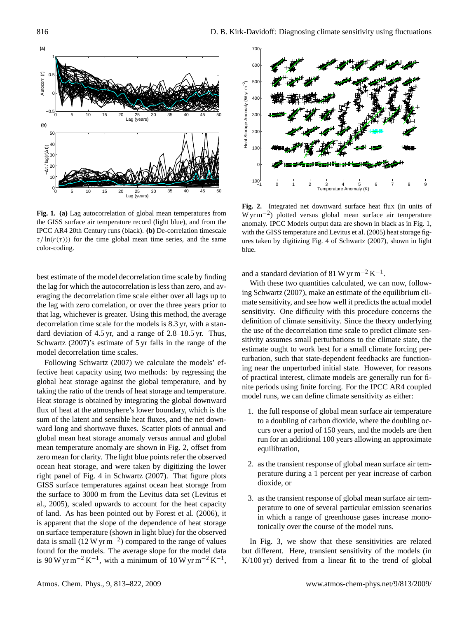

<span id="page-3-0"></span>**Fig. 1. (a)** Lag autocorrelation of global mean temperatures from the GISS surface air temperature record (light blue), and from the IPCC AR4 20th Century runs (black). **(b)** De-correlation timescale  $\tau/\ln(r(\tau))$  for the time global mean time series, and the same color-coding.

best estimate of the model decorrelation time scale by finding the lag for which the autocorrelation is less than zero, and averaging the decorrelation time scale either over all lags up to the lag with zero correlation, or over the three years prior to that lag, whichever is greater. Using this method, the average decorrelation time scale for the models is 8.3 yr, with a standard deviation of 4.5 yr, and a range of 2.8–18.5 yr. Thus, [Schwartz](#page-9-0) [\(2007\)](#page-9-0)'s estimate of 5 yr falls in the range of the model decorrelation time scales.

Following [Schwartz](#page-9-0) [\(2007\)](#page-9-0) we calculate the models' effective heat capacity using two methods: by regressing the global heat storage against the global temperature, and by taking the ratio of the trends of heat storage and temperature. Heat storage is obtained by integrating the global downward flux of heat at the atmosphere's lower boundary, which is the sum of the latent and sensible heat fluxes, and the net downward long and shortwave fluxes. Scatter plots of annual and global mean heat storage anomaly versus annual and global mean temperature anomaly are shown in Fig. [2,](#page-3-1) offset from zero mean for clarity. The light blue points refer the observed ocean heat storage, and were taken by digitizing the lower right panel of Fig. 4 in [Schwartz](#page-9-0) [\(2007\)](#page-9-0). That figure plots GISS surface temperatures against ocean heat storage from the surface to 3000 m from the Levitus data set [\(Levitus et](#page-9-10) [al.,](#page-9-10) [2005\)](#page-9-10), scaled upwards to account for the heat capacity of land. As has been pointed out by [Forest et al.](#page-8-8) [\(2006\)](#page-8-8), it is apparent that the slope of the dependence of heat storage on surface temperature (shown in light blue) for the observed data is small  $(12 \text{ W yr m}^{-2})$  compared to the range of values found for the models. The average slope for the model data is 90 W yr m<sup>-2</sup> K<sup>-1</sup>, with a minimum of 10 W yr m<sup>-2</sup> K<sup>-1</sup>,



<span id="page-3-1"></span>**Fig. 2.** Integrated net downward surface heat flux (in units of W yr m−<sup>2</sup> ) plotted versus global mean surface air temperature anomaly. IPCC Models output data are shown in black as in Fig. 1, with the GISS temperature and [Levitus et al.](#page-9-10) [\(2005\)](#page-9-10) heat storage figures taken by digitizing Fig. 4 of [Schwartz](#page-9-0) [\(2007\)](#page-9-0), shown in light blue.

and a standard deviation of 81 W yr m<sup>-2</sup> K<sup>-1</sup>.

With these two quantities calculated, we can now, following [Schwartz](#page-9-0) [\(2007\)](#page-9-0), make an estimate of the equilibrium climate sensitivity, and see how well it predicts the actual model sensitivity. One difficulty with this procedure concerns the definition of climate sensitivity. Since the theory underlying the use of the decorrelation time scale to predict climate sensitivity assumes small perturbations to the climate state, the estimate ought to work best for a small climate forcing perturbation, such that state-dependent feedbacks are functioning near the unperturbed initial state. However, for reasons of practical interest, climate models are generally run for finite periods using finite forcing. For the IPCC AR4 coupled model runs, we can define climate sensitivity as either:

- 1. the full response of global mean surface air temperature to a doubling of carbon dioxide, where the doubling occurs over a period of 150 years, and the models are then run for an additional 100 years allowing an approximate equilibration,
- 2. as the transient response of global mean surface air temperature during a 1 percent per year increase of carbon dioxide, or
- 3. as the transient response of global mean surface air temperature to one of several particular emission scenarios in which a range of greenhouse gases increase monotonically over the course of the model runs.

In Fig. [3,](#page-4-0) we show that these sensitivities are related but different. Here, transient sensitivity of the models (in K/100 yr) derived from a linear fit to the trend of global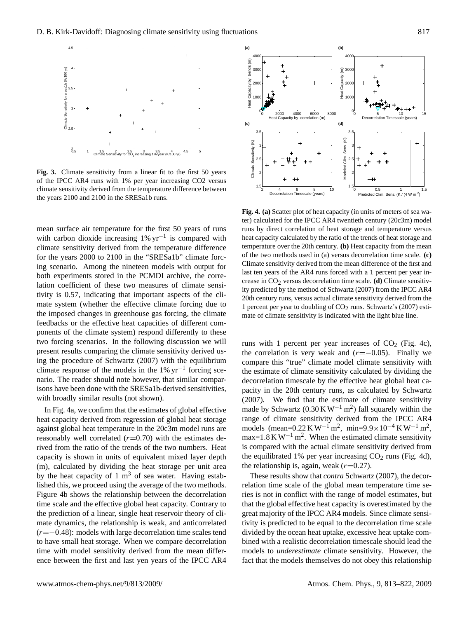

<span id="page-4-0"></span>**Fig. 3.** Climate sensitivity from a linear fit to the first 50 years of the IPCC AR4 runs with 1% per year increasing CO2 versus climate sensitivity derived from the temperature difference between the years 2100 and 2100 in the SRESa1b runs.

mean surface air temperature for the first 50 years of runs with carbon dioxide increasing  $1\% \text{ yr}^{-1}$  is compared with climate sensitivity derived from the temperature difference for the years 2000 to 2100 in the "SRESa1b" climate forcing scenario. Among the nineteen models with output for both experiments stored in the PCMDI archive, the correlation coefficient of these two measures of climate sensitivity is 0.57, indicating that important aspects of the climate system (whether the effective climate forcing due to the imposed changes in greenhouse gas forcing, the climate feedbacks or the effective heat capacities of different components of the climate system) respond differently to these two forcing scenarios. In the following discussion we will present results comparing the climate sensitivity derived using the procedure of [Schwartz](#page-9-0) [\(2007\)](#page-9-0) with the equilibrium climate response of the models in the 1% yr−<sup>1</sup> forcing scenario. The reader should note however, that similar comparisons have been done with the SRESa1b-derived sensitivities, with broadly similar results (not shown).

In Fig. [4a](#page-4-1), we confirm that the estimates of global effective heat capacity derived from regression of global heat storage against global heat temperature in the 20c3m model runs are reasonably well correlated  $(r=0.70)$  with the estimates derived from the ratio of the trends of the two numbers. Heat capacity is shown in units of equivalent mixed layer depth (m), calculated by dividing the heat storage per unit area by the heat capacity of 1  $m<sup>3</sup>$  of sea water. Having established this, we proceed using the average of the two methods. Figure [4b](#page-4-1) shows the relationship between the decorrelation time scale and the effective global heat capacity. Contrary to the prediction of a linear, single heat reservoir theory of climate dynamics, the relationship is weak, and anticorrelated  $(r=-0.48)$ : models with large decorrelation time scales tend to have small heat storage. When we compare decorrelation time with model sensitivity derived from the mean difference between the first and last yen years of the IPCC AR4



<span id="page-4-1"></span>**Fig. 4. (a)** Scatter plot of heat capacity (in units of meters of sea water) calculated for the IPCC AR4 twentieth century (20c3m) model runs by direct correlation of heat storage and temperature versus heat capacity calculated by the ratio of the trends of heat storage and temperature over the 20th century. **(b)** Heat capacity from the mean of the two methods used in (a) versus decorrelation time scale. **(c)** Climate sensitivity derived from the mean difference of the first and last ten years of the AR4 runs forced with a 1 percent per year increase in  $CO<sub>2</sub>$  versus decorrelation time scale. **(d)** Climate sensitivity predicted by the method of Schwartz (2007) from the IPCC AR4 20th century runs, versus actual climate sensitivity derived from the 1 percent per year to doubling of  $CO<sub>2</sub>$  runs. Schwartz's (2007) estimate of climate sensitivity is indicated with the light blue line.

runs with 1 percent per year increases of  $CO<sub>2</sub>$  (Fig. [4c](#page-4-1)), the correlation is very weak and  $(r=-0.05)$ . Finally we compare this "true" climate model climate sensitivity with the estimate of climate sensitivity calculated by dividing the decorrelation timescale by the effective heat global heat capacity in the 20th century runs, as calculated by [Schwartz](#page-9-0) [\(2007\)](#page-9-0). We find that the estimate of climate sensitivity made by Schwartz  $(0.30 \text{ K W}^{-1} \text{ m}^2)$  fall squarely within the range of climate sensitivity derived from the IPCC AR4 models (mean=0.22 K W<sup>-1</sup> m<sup>2</sup>, min=9.9×10<sup>-4</sup> K W<sup>-1</sup> m<sup>2</sup>,  $max=1.8$  K W<sup>-1</sup> m<sup>2</sup>. When the estimated climate sensitivity is compared with the actual climate sensitivity derived from the equilibrated 1% per year increasing  $CO<sub>2</sub>$  runs (Fig. [4d](#page-4-1)), the relationship is, again, weak  $(r=0.27)$ .

These results show that *contra* [Schwartz](#page-9-0) [\(2007\)](#page-9-0), the decorrelation time scale of the global mean temperature time series is not in conflict with the range of model estimates, but that the global effective heat capacity is overestimated by the great majority of the IPCC AR4 models. Since climate sensitivity is predicted to be equal to the decorrelation time scale divided by the ocean heat uptake, excessive heat uptake combined with a realistic decorrelation timescale should lead the models to *underestimate* climate sensitivity. However, the fact that the models themselves do not obey this relationship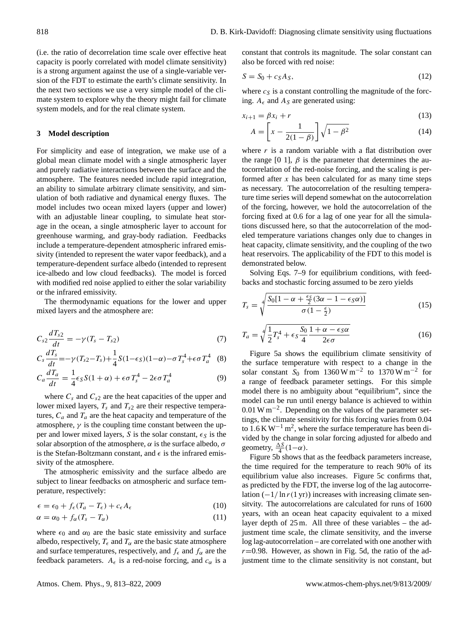(i.e. the ratio of decorrelation time scale over effective heat capacity is poorly correlated with model climate sensitivity) is a strong argument against the use of a single-variable version of the FDT to estimate the earth's climate sensitivity. In the next two sections we use a very simple model of the climate system to explore why the theory might fail for climate system models, and for the real climate system.

## **3 Model description**

For simplicity and ease of integration, we make use of a global mean climate model with a single atmospheric layer and purely radiative interactions between the surface and the atmosphere. The features needed include rapid integration, an ability to simulate arbitrary climate sensitivity, and simulation of both radiative and dynamical energy fluxes. The model includes two ocean mixed layers (upper and lower) with an adjustable linear coupling, to simulate heat storage in the ocean, a single atmospheric layer to account for greenhouse warming, and gray-body radiation. Feedbacks include a temperature-dependent atmospheric infrared emissivity (intended to represent the water vapor feedback), and a temperature-dependent surface albedo (intended to represent ice-albedo and low cloud feedbacks). The model is forced with modified red noise applied to either the solar variability or the infrared emissivity.

The thermodynamic equations for the lower and upper mixed layers and the atmosphere are:

$$
C_{s2}\frac{dT_{s2}}{dt} = -\gamma (T_s - T_{s2})
$$
\n(7)

<span id="page-5-0"></span>
$$
C_s \frac{dT_s}{dt} = -\gamma (T_{s2} - T_s) + \frac{1}{4} S(1 - \epsilon_S)(1 - \alpha) - \sigma T_s^4 + \epsilon \sigma T_a^4 \quad (8)
$$

$$
C_a \frac{dT_a}{dt} = \frac{1}{4} \epsilon_S S (1 + \alpha) + \epsilon \sigma T_s^4 - 2\epsilon \sigma T_a^4 \tag{9}
$$

where  $C_s$  and  $C_{s2}$  are the heat capacities of the upper and lower mixed layers,  $T_s$  and  $T_{s2}$  are their respective temperatures,  $C_a$  and  $T_a$  are the heat capacity and temperature of the atmosphere,  $\gamma$  is the coupling time constant between the upper and lower mixed layers, S is the solar constant,  $\epsilon_S$  is the solar absorption of the atmosphere,  $\alpha$  is the surface albedo,  $\sigma$ is the Stefan-Boltzmann constant, and  $\epsilon$  is the infrared emissivity of the atmosphere.

The atmospheric emissivity and the surface albedo are subject to linear feedbacks on atmospheric and surface temperature, respectively:

$$
\epsilon = \epsilon_0 + f_{\epsilon}(T_a - T_{\epsilon}) + c_{\epsilon}A_{\epsilon} \tag{10}
$$

$$
\alpha = \alpha_0 + f_\alpha (T_s - T_\alpha) \tag{11}
$$

where  $\epsilon_0$  and  $\alpha_0$  are the basic state emissivity and surface albedo, respectively,  $T_{\epsilon}$  and  $T_{\alpha}$  are the basic state atmosphere and surface temperatures, respectively, and  $f_{\epsilon}$  and  $f_{\alpha}$  are the feedback parameters.  $A_{\epsilon}$  is a red-noise forcing, and  $c_{\alpha}$  is a constant that controls its magnitude. The solar constant can also be forced with red noise:

$$
S = S_0 + c_S A_S, \tag{12}
$$

where  $c_S$  is a constant controlling the magnitude of the forcing.  $A_{\epsilon}$  and  $A_{S}$  are generated using:

$$
x_{i+1} = \beta x_i + r \tag{13}
$$

$$
A = \left[x - \frac{1}{2(1-\beta)}\right] \sqrt{1-\beta^2} \tag{14}
$$

where  $r$  is a random variable with a flat distribution over the range [0 1],  $\beta$  is the parameter that determines the autocorrelation of the red-noise forcing, and the scaling is performed after x has been calculated for as many time steps as necessary. The autocorrelation of the resulting temperature time series will depend somewhat on the autocorrelation of the forcing, however, we hold the autocorrelation of the forcing fixed at 0.6 for a lag of one year for all the simulations discussed here, so that the autocorrelation of the modeled temperature variations changes only due to changes in heat capacity, climate sensitivity, and the coupling of the two heat reservoirs. The applicability of the FDT to this model is demonstrated below.

Solving Eqs. [7–9](#page-5-0) for equilibrium conditions, with feedbacks and stochastic forcing assumed to be zero yields

$$
T_s = \sqrt[4]{\frac{S_0[1-\alpha+\frac{\epsilon_S}{2}(3\alpha-1-\epsilon_S\alpha)]}{\sigma(1-\frac{\epsilon}{2})}}
$$
(15)

$$
T_a = \sqrt[4]{\frac{1}{2}T_s^4 + \epsilon_S \frac{S_0}{4} \frac{1+\alpha-\epsilon_S \alpha}{2\epsilon \sigma}}
$$
(16)

Figure [5a](#page-6-0) shows the equilibrium climate sensitivity of the surface temperature with respect to a change in the solar constant  $S_0$  from 1360 W m<sup>-2</sup> to 1370 W m<sup>-2</sup> for a range of feedback parameter settings. For this simple model there is no ambiguity about "equilibrium", since the model can be run until energy balance is achieved to within 0.01 W m−<sup>2</sup> . Depending on the values of the parameter settings, the climate sensitivity for this forcing varies from 0.04 to 1.6 K W−<sup>1</sup> m<sup>2</sup> , where the surface temperature has been divided by the change in solar forcing adjusted for albedo and geometry,  $\frac{\Delta S}{4}(1-\alpha)$ .

Figure [5b](#page-6-0) shows that as the feedback parameters increase, the time required for the temperature to reach 90% of its equilibrium value also increases. Figure [5c](#page-6-0) confirms that, as predicted by the FDT, the inverse log of the lag autocorrelation  $\left(\frac{-1}{\ln r(1 \text{ yr})}\right)$  increases with increasing climate sensitvity. The autocorrelations are calculated for runs of 1600 years, with an ocean heat capacity equivalent to a mixed layer depth of 25 m. All three of these variables – the adjustment time scale, the climate sensitivity, and the inverse log lag-autocorrelation – are correlated with one another with  $r=0.98$ . However, as shown in Fig. [5d](#page-6-0), the ratio of the adjustment time to the climate sensitivity is not constant, but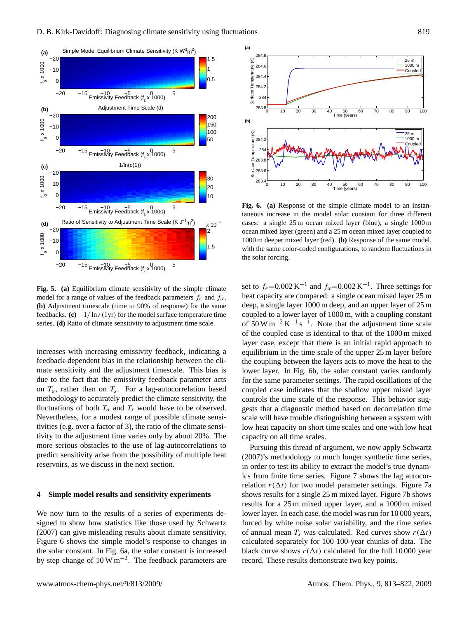

<span id="page-6-0"></span>**Fig. 5. (a)** Equilibrium climate sensitivity of the simple climate model for a range of values of the feedback parameters  $f_{\epsilon}$  and  $f_{\alpha}$ . **(b)** Adjustment timescale (time to 90% of response) for the same feedbacks.  $(c) -1/\ln r(1yr)$  for the model surface temperature time series. **(d)** Ratio of climate sensitivity to adjustment time scale.

increases with increasing emissivity feedback, indicating a feedback-dependent bias in the relationship between the climate sensitivity and the adjustment timescale. This bias is due to the fact that the emissivity feedback parameter acts on  $T_a$ , rather than on  $T_s$ . For a lag-autocorrelation based methodology to accurately predict the climate sensitivity, the fluctuations of both  $T_a$  and  $T_s$  would have to be observed. Nevertheless, for a modest range of possible climate sensitivities (e.g. over a factor of 3), the ratio of the climate sensitivity to the adjustment time varies only by about 20%. The more serious obstacles to the use of lag-autocorrelations to predict sensitivity arise from the possibility of multiple heat reservoirs, as we discuss in the next section.

## **4 Simple model results and sensitivity experiments**

We now turn to the results of a series of experiments designed to show how statistics like those used by [Schwartz](#page-9-0) [\(2007\)](#page-9-0) can give misleading results about climate sensitivity. Figure [6](#page-6-1) shows the simple model's response to changes in the solar constant. In Fig. [6a](#page-6-1), the solar constant is increased by step change of  $10 \,\mathrm{W\,m^{-2}}$ . The feedback parameters are



<span id="page-6-1"></span>**Fig. 6. (a)** Response of the simple climate model to an instantaneous increase in the model solar constant for three different cases: a single 25 m ocean mixed layer (blue), a single 1000 m ocean mixed layer (green) and a 25 m ocean mixed layer coupled to 1000 m deeper mixed layer (red). **(b)** Response of the same model, with the same color-coded configurations, to random fluctuations in the solar forcing.

set to  $f_{\epsilon}$ =0.002 K<sup>-1</sup> and  $f_{\alpha}$ =0.002 K<sup>-1</sup>. Three settings for heat capacity are compared: a single ocean mixed layer 25 m deep, a single layer 1000 m deep, and an upper layer of 25 m coupled to a lower layer of 1000 m, with a coupling constant of  $50 \,\mathrm{W m^{-2} K^{-1} s^{-1}}$ . Note that the adjustment time scale of the coupled case is identical to that of the 1000 m mixed layer case, except that there is an initial rapid approach to equilibrium in the time scale of the upper 25 m layer before the coupling between the layers acts to move the heat to the lower layer. In Fig. [6b](#page-6-1), the solar constant varies randomly for the same parameter settings. The rapid oscillations of the coupled case indicates that the shallow upper mixed layer controls the time scale of the response. This behavior suggests that a diagnostic method based on decorrelation time scale will have trouble distinguishing between a system with low heat capacity on short time scales and one with low heat capacity on all time scales.

Pursuing this thread of argument, we now apply [Schwartz](#page-9-0) [\(2007\)](#page-9-0)'s methodology to much longer synthetic time series, in order to test its ability to extract the model's true dynamics from finite time series. Figure [7](#page-7-0) shows the lag autocorrelation  $r(\Delta t)$  for two model parameter settings. Figure [7a](#page-7-0) shows results for a single 25 m mixed layer. Figure [7b](#page-7-0) shows results for a 25 m mixed upper layer, and a 1000 m mixed lower layer. In each case, the model was run for 10 000 years, forced by white noise solar variability, and the time series of annual mean  $T_s$  was calculated. Red curves show  $r(\Delta t)$ calculated separately for 100 100-year chunks of data. The black curve shows  $r(\Delta t)$  calculated for the full 10 000 year record. These results demonstrate two key points.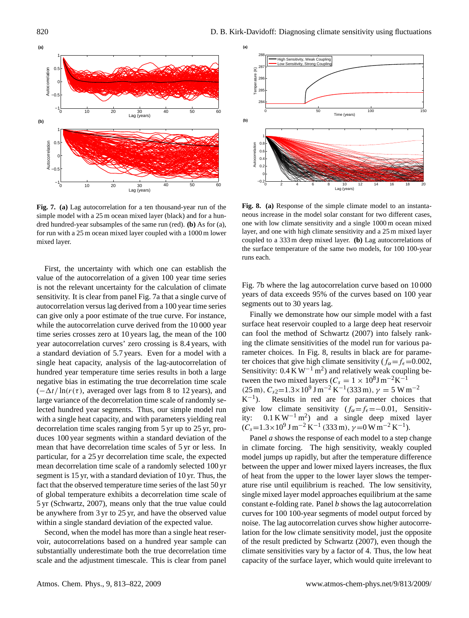

<span id="page-7-0"></span>**Fig. 7. (a)** Lag autocorrelation for a ten thousand-year run of the simple model with a 25 m ocean mixed layer (black) and for a hundred hundred-year subsamples of the same run (red). **(b)** As for (a), for run with a 25 m ocean mixed layer coupled with a 1000 m lower mixed layer.

First, the uncertainty with which one can establish the value of the autocorrelation of a given 100 year time series is not the relevant uncertainty for the calculation of climate sensitivity. It is clear from panel Fig. [7a](#page-7-0) that a single curve of autocorrelation versus lag derived from a 100 year time series can give only a poor estimate of the true curve. For instance, while the autocorrelation curve derived from the 10000 year time series crosses zero at 10 years lag, the mean of the 100 year autocorrelation curves' zero crossing is 8.4 years, with a standard deviation of 5.7 years. Even for a model with a single heat capacity, analysis of the lag-autocorrelation of hundred year temperature time series results in both a large negative bias in estimating the true decorrelation time scale  $(-\Delta t/\ln(r(\tau))$ , averaged over lags from 8 to 12 years), and large variance of the decorrelation time scale of randomly selected hundred year segments. Thus, our simple model run with a single heat capacity, and with parameters yielding real decorrelation time scales ranging from 5 yr up to 25 yr, produces 100 year segments within a standard deviation of the mean that have decorrelation time scales of 5 yr or less. In particular, for a 25 yr decorrelation time scale, the expected mean decorrelation time scale of a randomly selected 100 yr segment is 15 yr, with a standard deviation of 10 yr. Thus, the fact that the observed temperature time series of the last 50 yr of global temperature exhibits a decorrelation time scale of 5 yr [\(Schwartz,](#page-9-0) [2007\)](#page-9-0), means only that the true value could be anywhere from 3 yr to 25 yr, and have the observed value within a single standard deviation of the expected value.

Second, when the model has more than a single heat reservoir, autocorrelations based on a hundred year sample can substantially underestimate both the true decorrelation time scale and the adjustment timescale. This is clear from panel



<span id="page-7-1"></span>**Fig. 8. (a)** Response of the simple climate model to an instantaneous increase in the model solar constant for two different cases, one with low climate sensitivity and a single 1000 m ocean mixed layer, and one with high climate sensitivity and a 25 m mixed layer coupled to a 333 m deep mixed layer. **(b)** Lag autocorrelations of the surface temperature of the same two models, for 100 100-year runs each.

Fig. [7b](#page-7-0) where the lag autocorrelation curve based on 10 000 years of data exceeds 95% of the curves based on 100 year segments out to 30 years lag.

Finally we demonstrate how our simple model with a fast surface heat reservoir coupled to a large deep heat reservoir can fool the method of Schwartz (2007) into falsely ranking the climate sensitivities of the model run for various parameter choices. In Fig. [8,](#page-7-1) results in black are for parameter choices that give high climate sensitivity ( $f_{\alpha} = f_{\epsilon} = 0.002$ , Sensitivity:  $0.4 \text{ K W}^{-1} \text{ m}^2$ ) and relatively weak coupling between the two mixed layers ( $C_s = 1 \times 10^8 \text{J m}^{-2} \text{K}^{-1}$  $(25 \text{ m}), C_{s2} = 1.3 \times 10^{9} \text{ J m}^{-2} \text{ K}^{-1} (333 \text{ m}), \gamma = 5 \text{ W m}^{-2}$  $K^{-1}$ ). Results in red are for parameter choices that give low climate sensitivity  $(f_{\alpha} = f_{\epsilon} = -0.01,$  Sensitivity:  $0.1 \text{ K W}^{-1} \text{ m}^2$  and a single deep mixed layer  $(C_s=1.3\times10^9 \text{ J m}^{-2} \text{ K}^{-1} (333 \text{ m}), \gamma=0 \text{ W m}^{-2} \text{ K}^{-1}).$ 

Panel *a* shows the response of each model to a step change in climate forcing. The high sensitivity, weakly coupled model jumps up rapidly, but after the temperature difference between the upper and lower mixed layers increases, the flux of heat from the upper to the lower layer slows the temperature rise until equilibrium is reached. The low sensitivity, single mixed layer model approaches equilibrium at the same constant e-folding rate. Panel *b* shows the lag autocorrelation curves for 100 100-year segments of model output forced by noise. The lag autocorrelation curves show higher autocorrelation for the low climate sensitivity model, just the opposite of the result predicted by [Schwartz](#page-9-0) [\(2007\)](#page-9-0), even though the climate sensitivities vary by a factor of 4. Thus, the low heat capacity of the surface layer, which would quite irrelevant to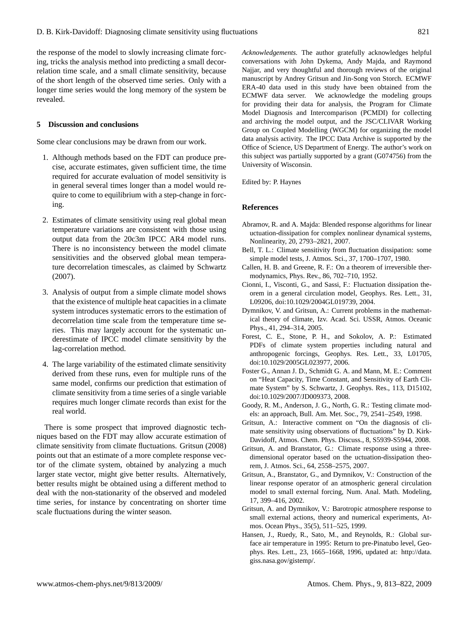the response of the model to slowly increasing climate forcing, tricks the analysis method into predicting a small decorrelation time scale, and a small climate sensitivity, because of the short length of the observed time series. Only with a longer time series would the long memory of the system be revealed.

### **5 Discussion and conclusions**

Some clear conclusions may be drawn from our work.

- 1. Although methods based on the FDT can produce precise, accurate estimates, given sufficient time, the time required for accurate evaluation of model sensitivity is in general several times longer than a model would require to come to equilibrium with a step-change in forcing.
- 2. Estimates of climate sensitivity using real global mean temperature variations are consistent with those using output data from the 20c3m IPCC AR4 model runs. There is no inconsistency between the model climate sensitivities and the observed global mean temperature decorrelation timescales, as claimed by [Schwartz](#page-9-0) [\(2007\)](#page-9-0).
- 3. Analysis of output from a simple climate model shows that the existence of multiple heat capacities in a climate system introduces systematic errors to the estimation of decorrelation time scale from the temperature time series. This may largely account for the systematic underestimate of IPCC model climate sensitivity by the lag-correlation method.
- 4. The large variability of the estimated climate sensitivity derived from these runs, even for multiple runs of the same model, confirms our prediction that estimation of climate sensitivity from a time series of a single variable requires much longer climate records than exist for the real world.

There is some prospect that improved diagnostic techniques based on the FDT may allow accurate estimation of climate sensitivity from climate fluctuations. [Gritsun](#page-8-9) [\(2008\)](#page-8-9) points out that an estimate of a more complete response vector of the climate system, obtained by analyzing a much larger state vector, might give better results. Alternatively, better results might be obtained using a different method to deal with the non-stationarity of the observed and modeled time series, for instance by concentrating on shorter time scale fluctuations during the winter season.

*Acknowledgements.* The author gratefully acknowledges helpful conversations with John Dykema, Andy Majda, and Raymond Najjar, and very thoughtful and thorough reviews of the original manuscript by Andrey Gritsun and Jin-Song von Storch. ECMWF ERA-40 data used in this study have been obtained from the ECMWF data server. We acknowledge the modeling groups for providing their data for analysis, the Program for Climate Model Diagnosis and Intercomparison (PCMDI) for collecting and archiving the model output, and the JSC/CLIVAR Working Group on Coupled Modelling (WGCM) for organizing the model data analysis activity. The IPCC Data Archive is supported by the Office of Science, US Department of Energy. The author's work on this subject was partially supported by a grant (G074756) from the University of Wisconsin.

Edited by: P. Haynes

#### **References**

- Abramov, R. and A. Majda: Blended response algorithms for linear uctuation-dissipation for complex nonlinear dynamical systems, Nonlinearity, 20, 2793–2821, 2007.
- <span id="page-8-0"></span>Bell, T. L.: Climate sensitivity from fluctuation dissipation: some simple model tests, J. Atmos. Sci., 37, 1700–1707, 1980.
- <span id="page-8-1"></span>Callen, H. B. and Greene, R. F.: On a theorem of irreversible thermodynamics, Phys. Rev., 86, 702–710, 1952.
- <span id="page-8-2"></span>Cionni, I., Visconti, G., and Sassi, F.: Fluctuation dissipation theorem in a general circulation model, Geophys. Res. Lett., 31, L09206, doi:10.1029/2004GL019739, 2004.
- <span id="page-8-6"></span>Dymnikov, V. and Gritsun, A.: Current problems in the mathematical theory of climate, Izv. Acad. Sci. USSR, Atmos. Oceanic Phys., 41, 294–314, 2005.
- <span id="page-8-8"></span>Forest, C. E., Stone, P. H., and Sokolov, A. P.: Estimated PDFs of climate system properties including natural and anthropogenic forcings, Geophys. Res. Lett., 33, L01705, doi:10.1029/2005GL023977, 2006.
- <span id="page-8-5"></span>Foster G., Annan J. D., Schmidt G. A. and Mann, M. E.: Comment on "Heat Capacity, Time Constant, and Sensitivity of Earth Climate System" by S. Schwartz, J. Geophys. Res., 113, D15102, doi:10.1029/2007/JD009373, 2008.
- <span id="page-8-4"></span>Goody, R. M., Anderson, J. G., North, G. R.: Testing climate models: an approach, Bull. Am. Met. Soc., 79, 2541–2549, 1998.
- <span id="page-8-9"></span>Gritsun, A.: Interactive comment on "On the diagnosis of climate sensitivity using observations of fluctuations" by D. Kirk-Davidoff, Atmos. Chem. Phys. Discuss., 8, S5939-S5944, 2008.
- <span id="page-8-3"></span>Gritsun, A. and Branstator, G.: Climate response using a threedimensional operator based on the uctuation-dissipation theorem, J. Atmos. Sci., 64, 2558–2575, 2007.
- Gritsun, A., Branstator, G., and Dymnikov, V.: Construction of the linear response operator of an atmospheric general circulation model to small external forcing, Num. Anal. Math. Modeling, 17, 399–416, 2002.
- Gritsun, A. and Dymnikov, V.: Barotropic atmosphere response to small external actions, theory and numerical experiments, Atmos. Ocean Phys., 35(5), 511–525, 1999.
- <span id="page-8-7"></span>Hansen, J., Ruedy, R., Sato, M., and Reynolds, R.: Global surface air temperature in 1995: Return to pre-Pinatubo level, Geophys. Res. Lett., 23, 1665–1668, 1996, updated at: [http://data.](http://data.giss.nasa.gov/gistemp/) [giss.nasa.gov/gistemp/.](http://data.giss.nasa.gov/gistemp/)